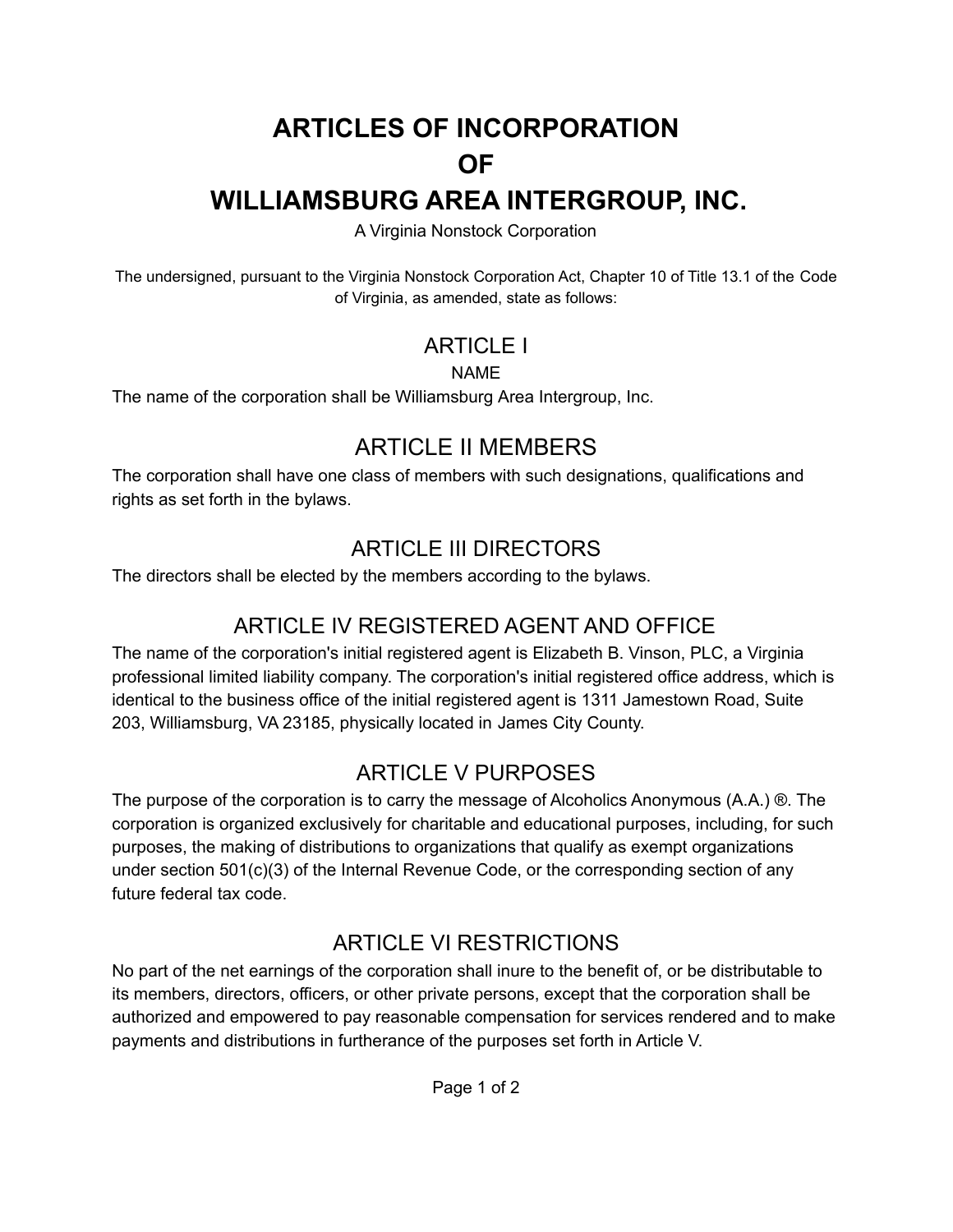# **ARTICLES OF INCORPORATION OF WILLIAMSBURG AREA INTERGROUP, INC.**

A Virginia Nonstock Corporation

The undersigned, pursuant to the Virginia Nonstock Corporation Act, Chapter 10 of Title 13.1 of the Code of Virginia, as amended, state as follows:

## ARTICLE I

#### NAME

The name of the corporation shall be Williamsburg Area Intergroup, Inc.

# ARTICLE II MEMBERS

The corporation shall have one class of members with such designations, qualifications and rights as set forth in the bylaws.

## ARTICLE III DIRECTORS

The directors shall be elected by the members according to the bylaws.

# ARTICLE IV REGISTERED AGENT AND OFFICE

The name of the corporation's initial registered agent is Elizabeth B. Vinson, PLC, a Virginia professional limited liability company. The corporation's initial registered office address, which is identical to the business office of the initial registered agent is 1311 Jamestown Road, Suite 203, Williamsburg, VA 23185, physically located in James City County.

## ARTICLE V PURPOSES

The purpose of the corporation is to carry the message of Alcoholics Anonymous (A.A.) ®. The corporation is organized exclusively for charitable and educational purposes, including, for such purposes, the making of distributions to organizations that qualify as exempt organizations under section 501(c)(3) of the Internal Revenue Code, or the corresponding section of any future federal tax code.

# ARTICLE VI RESTRICTIONS

No part of the net earnings of the corporation shall inure to the benefit of, or be distributable to its members, directors, officers, or other private persons, except that the corporation shall be authorized and empowered to pay reasonable compensation for services rendered and to make payments and distributions in furtherance of the purposes set forth in Article V.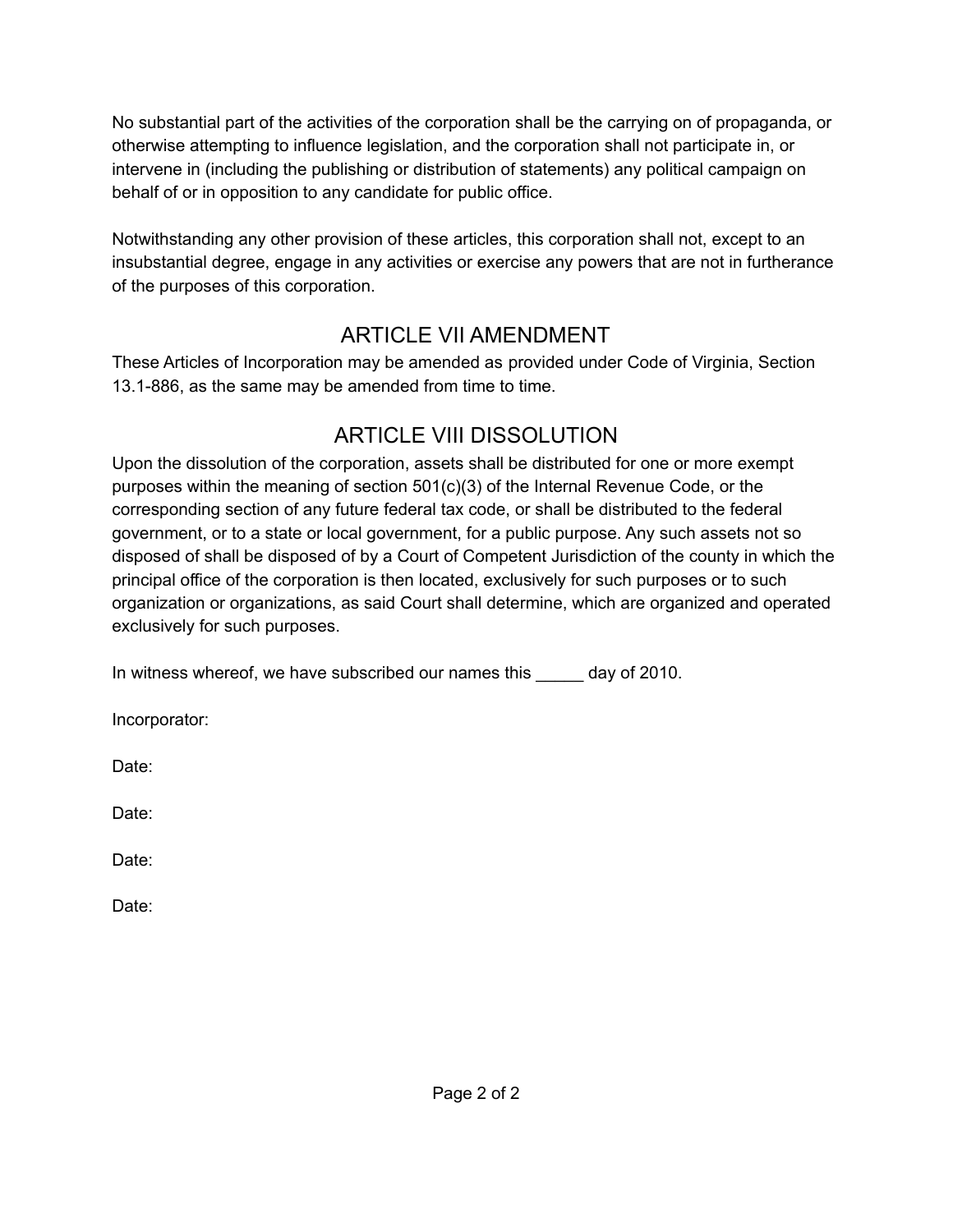No substantial part of the activities of the corporation shall be the carrying on of propaganda, or otherwise attempting to influence legislation, and the corporation shall not participate in, or intervene in (including the publishing or distribution of statements) any political campaign on behalf of or in opposition to any candidate for public office.

Notwithstanding any other provision of these articles, this corporation shall not, except to an insubstantial degree, engage in any activities or exercise any powers that are not in furtherance of the purposes of this corporation.

# ARTICLE VII AMENDMENT

These Articles of Incorporation may be amended as provided under Code of Virginia, Section 13.1-886, as the same may be amended from time to time.

# ARTICLE VIII DISSOLUTION

Upon the dissolution of the corporation, assets shall be distributed for one or more exempt purposes within the meaning of section 501(c)(3) of the Internal Revenue Code, or the corresponding section of any future federal tax code, or shall be distributed to the federal government, or to a state or local government, for a public purpose. Any such assets not so disposed of shall be disposed of by a Court of Competent Jurisdiction of the county in which the principal office of the corporation is then located, exclusively for such purposes or to such organization or organizations, as said Court shall determine, which are organized and operated exclusively for such purposes.

In witness whereof, we have subscribed our names this \_\_\_\_\_ day of 2010.

Incorporator:

Date:

Date:

Date:

Date: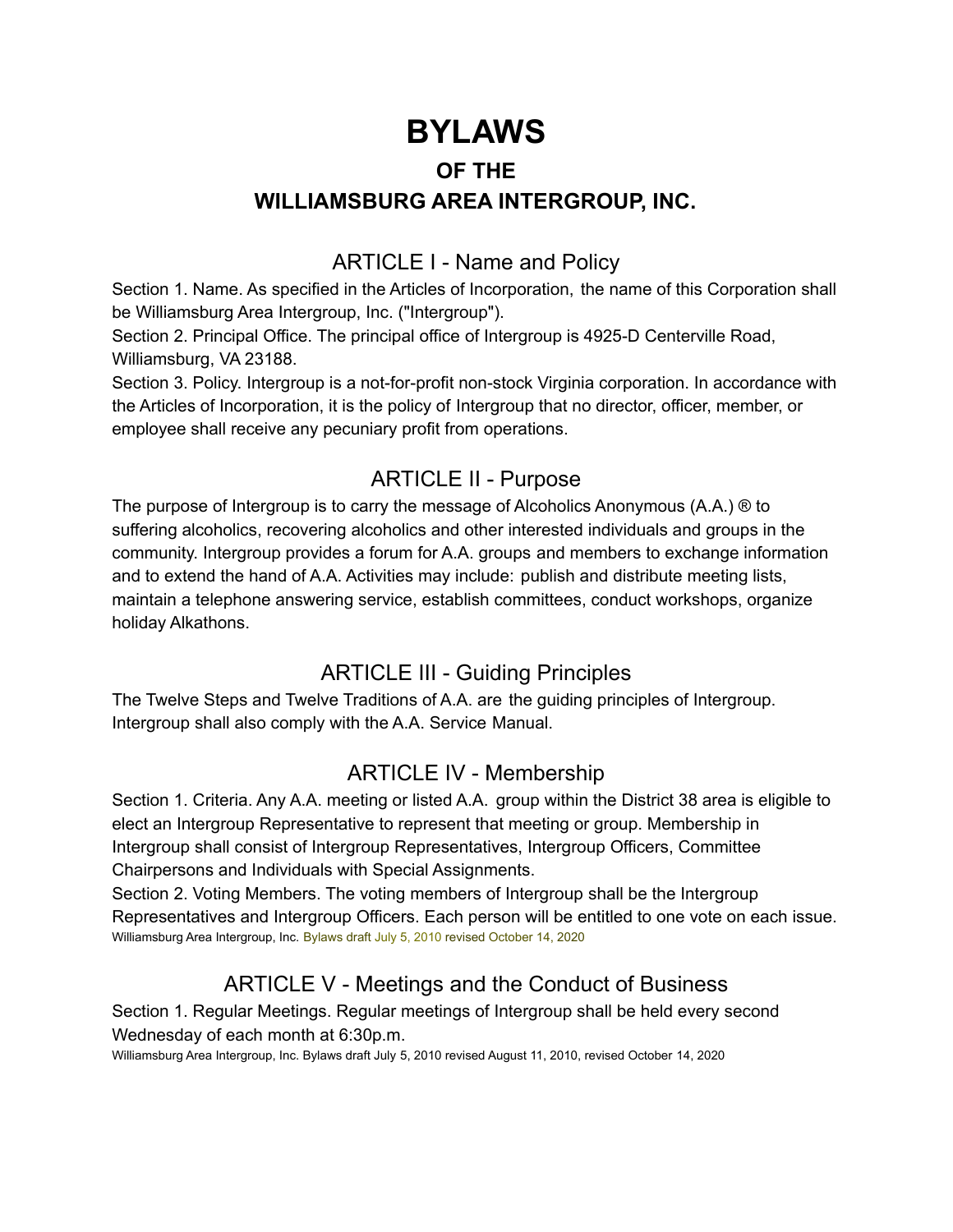# **BYLAWS**

#### **OF THE**

#### **WILLIAMSBURG AREA INTERGROUP, INC.**

## ARTICLE I - Name and Policy

Section 1. Name. As specified in the Articles of Incorporation, the name of this Corporation shall be Williamsburg Area Intergroup, Inc. ("Intergroup").

Section 2. Principal Office. The principal office of Intergroup is 4925-D Centerville Road, Williamsburg, VA 23188.

Section 3. Policy. Intergroup is a not-for-profit non-stock Virginia corporation. In accordance with the Articles of Incorporation, it is the policy of Intergroup that no director, officer, member, or employee shall receive any pecuniary profit from operations.

### ARTICLE II - Purpose

The purpose of Intergroup is to carry the message of Alcoholics Anonymous (A.A.) ® to suffering alcoholics, recovering alcoholics and other interested individuals and groups in the community. Intergroup provides a forum for A.A. groups and members to exchange information and to extend the hand of A.A. Activities may include: publish and distribute meeting lists, maintain a telephone answering service, establish committees, conduct workshops, organize holiday Alkathons.

## ARTICLE III - Guiding Principles

The Twelve Steps and Twelve Traditions of A.A. are the guiding principles of Intergroup. Intergroup shall also comply with the A.A. Service Manual.

### ARTICLE IV - Membership

Section 1. Criteria. Any A.A. meeting or listed A.A. group within the District 38 area is eligible to elect an Intergroup Representative to represent that meeting or group. Membership in Intergroup shall consist of Intergroup Representatives, Intergroup Officers, Committee Chairpersons and Individuals with Special Assignments.

Section 2. Voting Members. The voting members of Intergroup shall be the Intergroup Representatives and Intergroup Officers. Each person will be entitled to one vote on each issue. Williamsburg Area Intergroup, Inc. Bylaws draft July 5, 2010 revised October 14, 2020

# ARTICLE V - Meetings and the Conduct of Business

Section 1. Regular Meetings. Regular meetings of Intergroup shall be held every second Wednesday of each month at 6:30p.m.

Williamsburg Area Intergroup, Inc. Bylaws draft July 5, 2010 revised August 11, 2010, revised October 14, 2020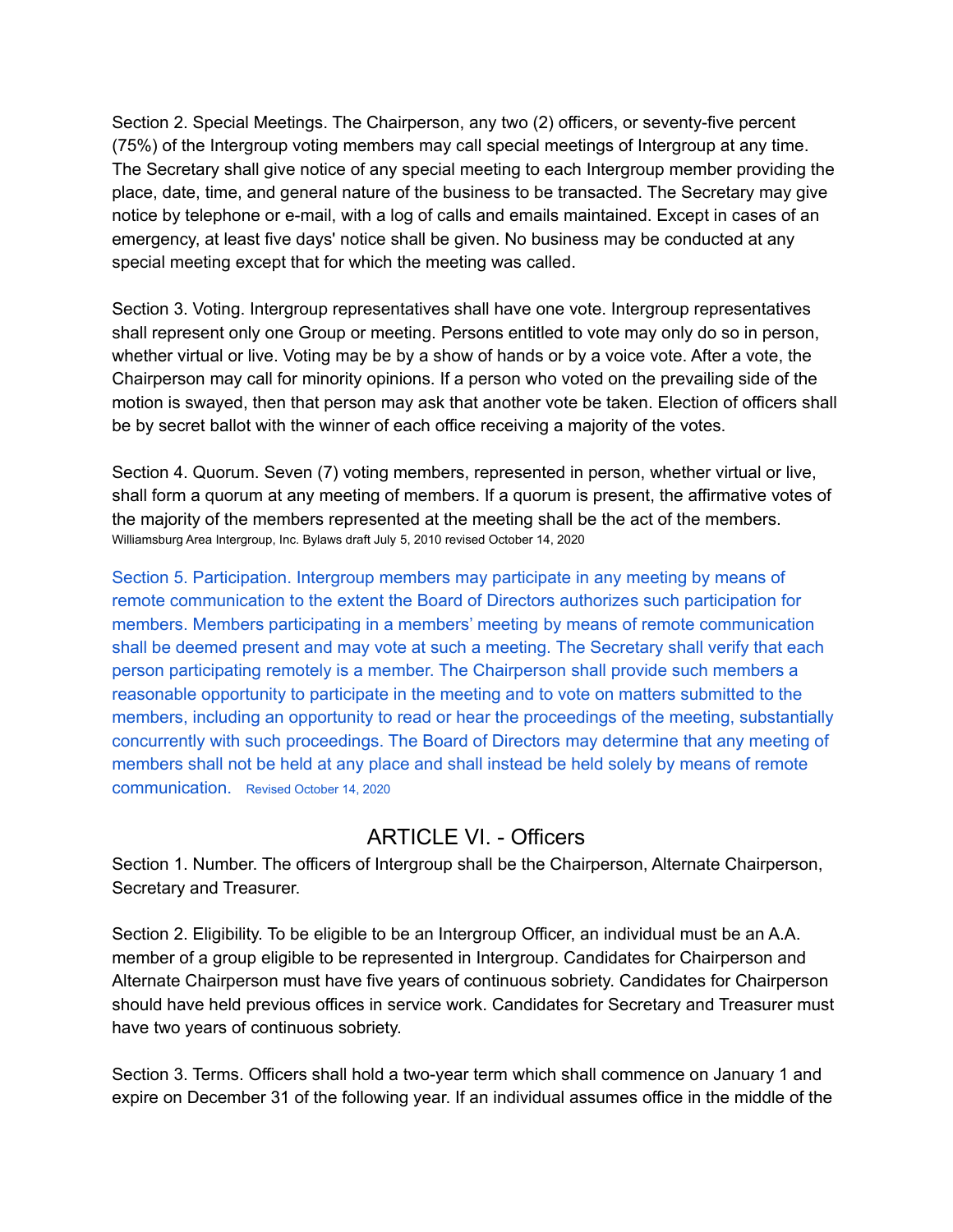Section 2. Special Meetings. The Chairperson, any two (2) officers, or seventy-five percent (75%) of the Intergroup voting members may call special meetings of Intergroup at any time. The Secretary shall give notice of any special meeting to each Intergroup member providing the place, date, time, and general nature of the business to be transacted. The Secretary may give notice by telephone or e-mail, with a log of calls and emails maintained. Except in cases of an emergency, at least five days' notice shall be given. No business may be conducted at any special meeting except that for which the meeting was called.

Section 3. Voting. Intergroup representatives shall have one vote. Intergroup representatives shall represent only one Group or meeting. Persons entitled to vote may only do so in person, whether virtual or live. Voting may be by a show of hands or by a voice vote. After a vote, the Chairperson may call for minority opinions. If a person who voted on the prevailing side of the motion is swayed, then that person may ask that another vote be taken. Election of officers shall be by secret ballot with the winner of each office receiving a majority of the votes.

Section 4. Quorum. Seven (7) voting members, represented in person, whether virtual or live, shall form a quorum at any meeting of members. If a quorum is present, the affirmative votes of the majority of the members represented at the meeting shall be the act of the members. Williamsburg Area Intergroup, Inc. Bylaws draft July 5, 2010 revised October 14, 2020

Section 5. Participation. Intergroup members may participate in any meeting by means of remote communication to the extent the Board of Directors authorizes such participation for members. Members participating in a members' meeting by means of remote communication shall be deemed present and may vote at such a meeting. The Secretary shall verify that each person participating remotely is a member. The Chairperson shall provide such members a reasonable opportunity to participate in the meeting and to vote on matters submitted to the members, including an opportunity to read or hear the proceedings of the meeting, substantially concurrently with such proceedings. The Board of Directors may determine that any meeting of members shall not be held at any place and shall instead be held solely by means of remote communication. Revised October 14, 2020

#### ARTICLE VI. - Officers

Section 1. Number. The officers of Intergroup shall be the Chairperson, Alternate Chairperson, Secretary and Treasurer.

Section 2. Eligibility. To be eligible to be an Intergroup Officer, an individual must be an A.A. member of a group eligible to be represented in Intergroup. Candidates for Chairperson and Alternate Chairperson must have five years of continuous sobriety. Candidates for Chairperson should have held previous offices in service work. Candidates for Secretary and Treasurer must have two years of continuous sobriety.

Section 3. Terms. Officers shall hold a two-year term which shall commence on January 1 and expire on December 31 of the following year. If an individual assumes office in the middle of the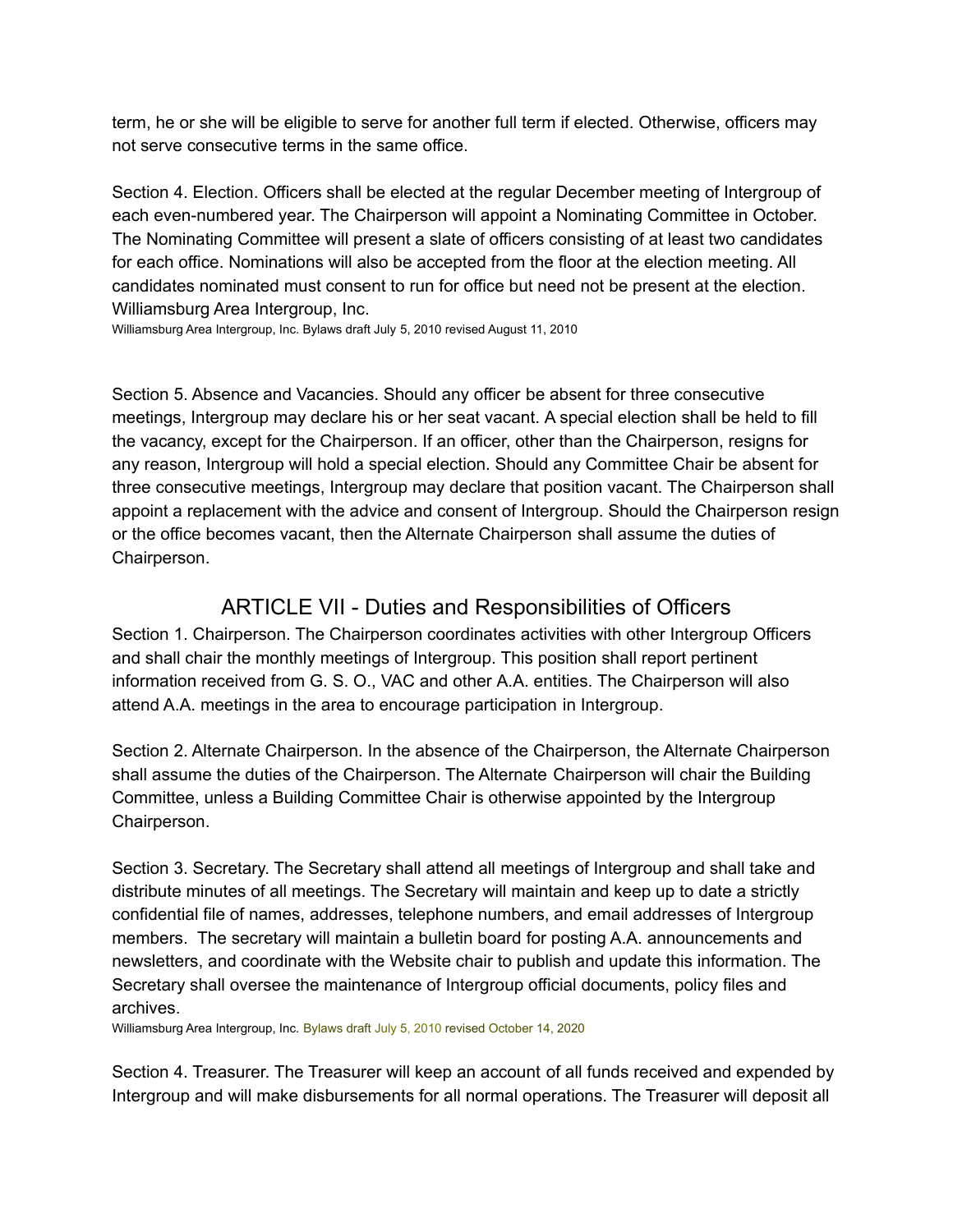term, he or she will be eligible to serve for another full term if elected. Otherwise, officers may not serve consecutive terms in the same office.

Section 4. Election. Officers shall be elected at the regular December meeting of Intergroup of each even-numbered year. The Chairperson will appoint a Nominating Committee in October. The Nominating Committee will present a slate of officers consisting of at least two candidates for each office. Nominations will also be accepted from the floor at the election meeting. All candidates nominated must consent to run for office but need not be present at the election. Williamsburg Area Intergroup, Inc.

Williamsburg Area Intergroup, Inc. Bylaws draft July 5, 2010 revised August 11, 2010

Section 5. Absence and Vacancies. Should any officer be absent for three consecutive meetings, Intergroup may declare his or her seat vacant. A special election shall be held to fill the vacancy, except for the Chairperson. If an officer, other than the Chairperson, resigns for any reason, Intergroup will hold a special election. Should any Committee Chair be absent for three consecutive meetings, Intergroup may declare that position vacant. The Chairperson shall appoint a replacement with the advice and consent of Intergroup. Should the Chairperson resign or the office becomes vacant, then the Alternate Chairperson shall assume the duties of Chairperson.

#### ARTICLE VII - Duties and Responsibilities of Officers

Section 1. Chairperson. The Chairperson coordinates activities with other Intergroup Officers and shall chair the monthly meetings of Intergroup. This position shall report pertinent information received from G. S. O., VAC and other A.A. entities. The Chairperson will also attend A.A. meetings in the area to encourage participation in Intergroup.

Section 2. Alternate Chairperson. In the absence of the Chairperson, the Alternate Chairperson shall assume the duties of the Chairperson. The Alternate Chairperson will chair the Building Committee, unless a Building Committee Chair is otherwise appointed by the Intergroup Chairperson.

Section 3. Secretary. The Secretary shall attend all meetings of Intergroup and shall take and distribute minutes of all meetings. The Secretary will maintain and keep up to date a strictly confidential file of names, addresses, telephone numbers, and email addresses of Intergroup members. The secretary will maintain a bulletin board for posting A.A. announcements and newsletters, and coordinate with the Website chair to publish and update this information. The Secretary shall oversee the maintenance of Intergroup official documents, policy files and archives.

Williamsburg Area Intergroup, Inc. Bylaws draft July 5, 2010 revised October 14, 2020

Section 4. Treasurer. The Treasurer will keep an account of all funds received and expended by Intergroup and will make disbursements for all normal operations. The Treasurer will deposit all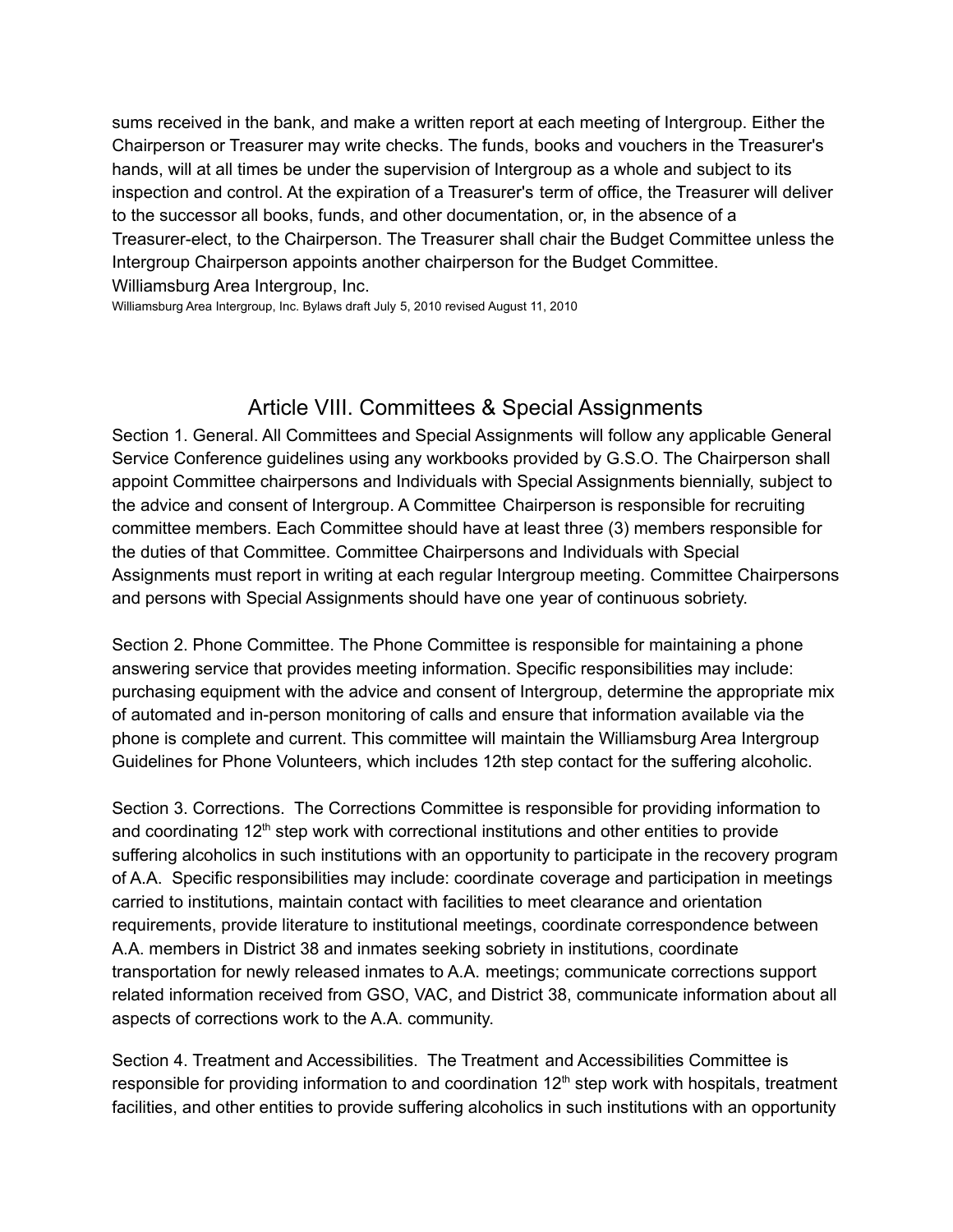sums received in the bank, and make a written report at each meeting of Intergroup. Either the Chairperson or Treasurer may write checks. The funds, books and vouchers in the Treasurer's hands, will at all times be under the supervision of Intergroup as a whole and subject to its inspection and control. At the expiration of a Treasurer's term of office, the Treasurer will deliver to the successor all books, funds, and other documentation, or, in the absence of a Treasurer-elect, to the Chairperson. The Treasurer shall chair the Budget Committee unless the Intergroup Chairperson appoints another chairperson for the Budget Committee. Williamsburg Area Intergroup, Inc.

Williamsburg Area Intergroup, Inc. Bylaws draft July 5, 2010 revised August 11, 2010

#### Article VIII. Committees & Special Assignments

Section 1. General. All Committees and Special Assignments will follow any applicable General Service Conference guidelines using any workbooks provided by G.S.O. The Chairperson shall appoint Committee chairpersons and Individuals with Special Assignments biennially, subject to the advice and consent of Intergroup. A Committee Chairperson is responsible for recruiting committee members. Each Committee should have at least three (3) members responsible for the duties of that Committee. Committee Chairpersons and Individuals with Special Assignments must report in writing at each regular Intergroup meeting. Committee Chairpersons and persons with Special Assignments should have one year of continuous sobriety.

Section 2. Phone Committee. The Phone Committee is responsible for maintaining a phone answering service that provides meeting information. Specific responsibilities may include: purchasing equipment with the advice and consent of Intergroup, determine the appropriate mix of automated and in-person monitoring of calls and ensure that information available via the phone is complete and current. This committee will maintain the Williamsburg Area Intergroup Guidelines for Phone Volunteers, which includes 12th step contact for the suffering alcoholic.

Section 3. Corrections. The Corrections Committee is responsible for providing information to and coordinating  $12<sup>th</sup>$  step work with correctional institutions and other entities to provide suffering alcoholics in such institutions with an opportunity to participate in the recovery program of A.A. Specific responsibilities may include: coordinate coverage and participation in meetings carried to institutions, maintain contact with facilities to meet clearance and orientation requirements, provide literature to institutional meetings, coordinate correspondence between A.A. members in District 38 and inmates seeking sobriety in institutions, coordinate transportation for newly released inmates to A.A. meetings; communicate corrections support related information received from GSO, VAC, and District 38, communicate information about all aspects of corrections work to the A.A. community.

Section 4. Treatment and Accessibilities. The Treatment and Accessibilities Committee is responsible for providing information to and coordination 12<sup>th</sup> step work with hospitals, treatment facilities, and other entities to provide suffering alcoholics in such institutions with an opportunity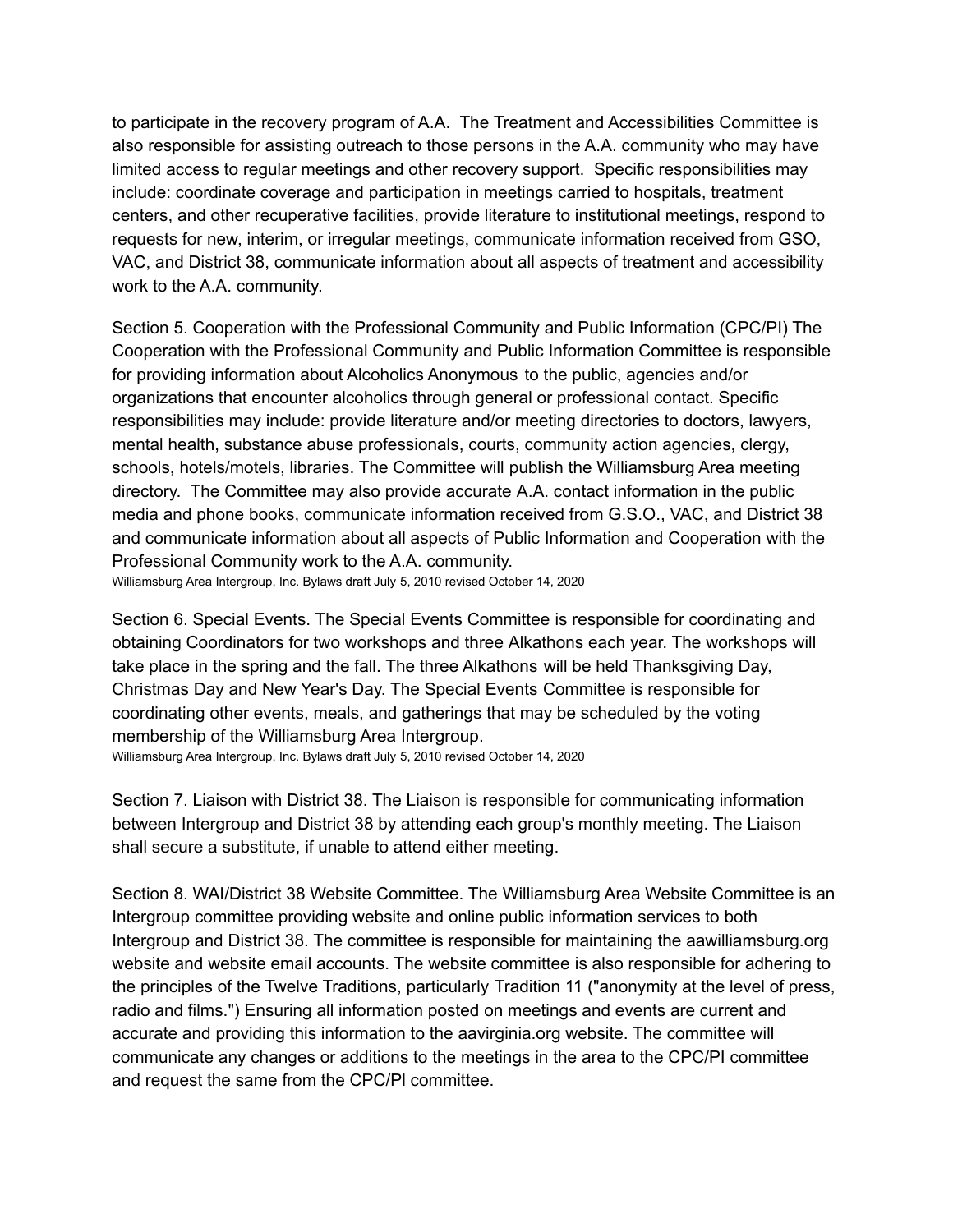to participate in the recovery program of A.A. The Treatment and Accessibilities Committee is also responsible for assisting outreach to those persons in the A.A. community who may have limited access to regular meetings and other recovery support. Specific responsibilities may include: coordinate coverage and participation in meetings carried to hospitals, treatment centers, and other recuperative facilities, provide literature to institutional meetings, respond to requests for new, interim, or irregular meetings, communicate information received from GSO, VAC, and District 38, communicate information about all aspects of treatment and accessibility work to the A.A. community.

Section 5. Cooperation with the Professional Community and Public Information (CPC/PI) The Cooperation with the Professional Community and Public Information Committee is responsible for providing information about Alcoholics Anonymous to the public, agencies and/or organizations that encounter alcoholics through general or professional contact. Specific responsibilities may include: provide literature and/or meeting directories to doctors, lawyers, mental health, substance abuse professionals, courts, community action agencies, clergy, schools, hotels/motels, libraries. The Committee will publish the Williamsburg Area meeting directory. The Committee may also provide accurate A.A. contact information in the public media and phone books, communicate information received from G.S.O., VAC, and District 38 and communicate information about all aspects of Public Information and Cooperation with the Professional Community work to the A.A. community. Williamsburg Area Intergroup, Inc. Bylaws draft July 5, 2010 revised October 14, 2020

Section 6. Special Events. The Special Events Committee is responsible for coordinating and obtaining Coordinators for two workshops and three Alkathons each year. The workshops will take place in the spring and the fall. The three Alkathons will be held Thanksgiving Day, Christmas Day and New Year's Day. The Special Events Committee is responsible for coordinating other events, meals, and gatherings that may be scheduled by the voting membership of the Williamsburg Area Intergroup.

Williamsburg Area Intergroup, Inc. Bylaws draft July 5, 2010 revised October 14, 2020

Section 7. Liaison with District 38. The Liaison is responsible for communicating information between Intergroup and District 38 by attending each group's monthly meeting. The Liaison shall secure a substitute, if unable to attend either meeting.

Section 8. WAI/District 38 Website Committee. The Williamsburg Area Website Committee is an Intergroup committee providing website and online public information services to both Intergroup and District 38. The committee is responsible for maintaining the aawilliamsburg.org website and website email accounts. The website committee is also responsible for adhering to the principles of the Twelve Traditions, particularly Tradition 11 ("anonymity at the level of press, radio and films.") Ensuring all information posted on meetings and events are current and accurate and providing this information to the aavirginia.org website. The committee will communicate any changes or additions to the meetings in the area to the CPC/PI committee and request the same from the CPC/Pl committee.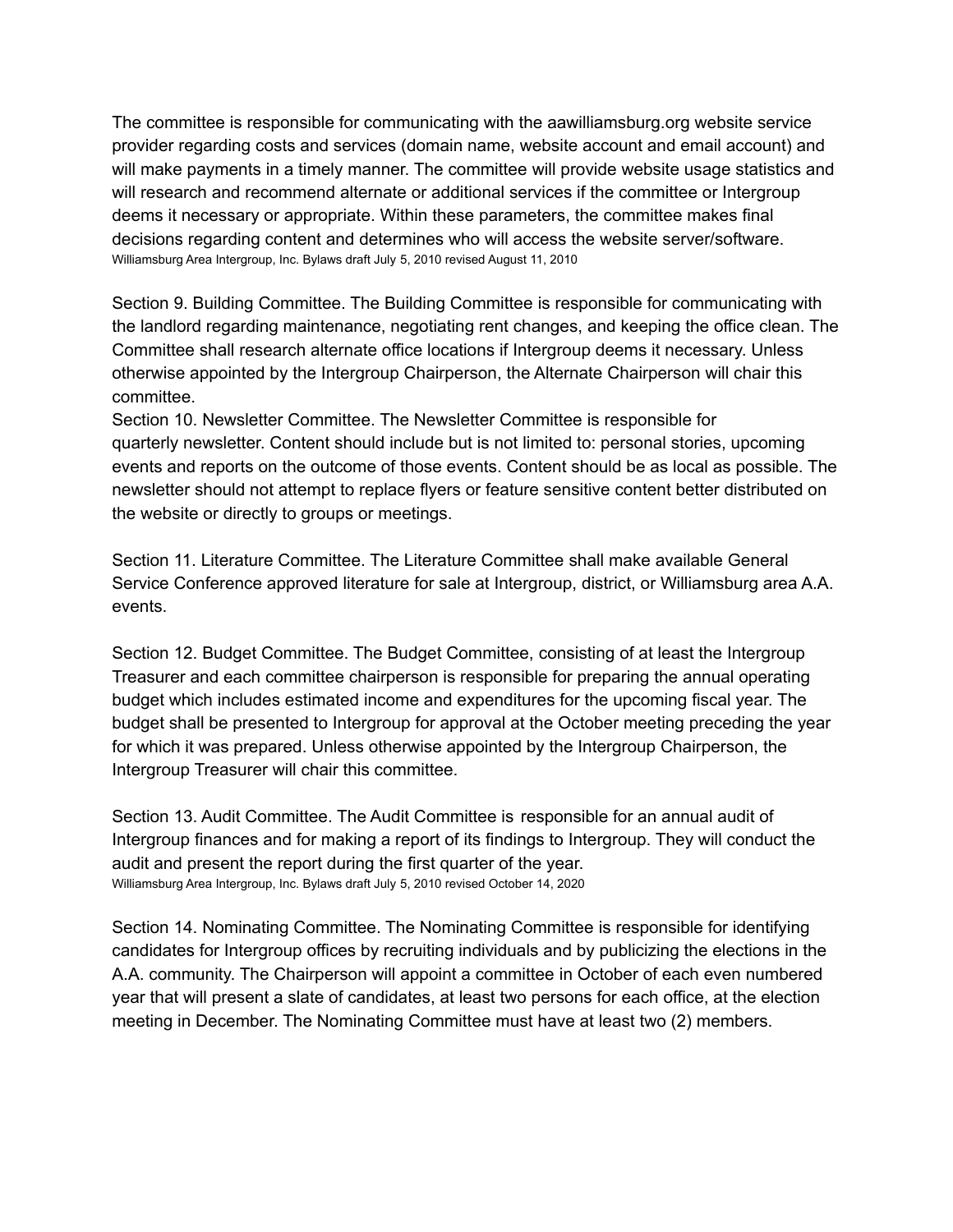The committee is responsible for communicating with the aawilliamsburg.org website service provider regarding costs and services (domain name, website account and email account) and will make payments in a timely manner. The committee will provide website usage statistics and will research and recommend alternate or additional services if the committee or Intergroup deems it necessary or appropriate. Within these parameters, the committee makes final decisions regarding content and determines who will access the website server/software. Williamsburg Area Intergroup, Inc. Bylaws draft July 5, 2010 revised August 11, 2010

Section 9. Building Committee. The Building Committee is responsible for communicating with the landlord regarding maintenance, negotiating rent changes, and keeping the office clean. The Committee shall research alternate office locations if Intergroup deems it necessary. Unless otherwise appointed by the Intergroup Chairperson, the Alternate Chairperson will chair this committee.

Section 10. Newsletter Committee. The Newsletter Committee is responsible for quarterly newsletter. Content should include but is not limited to: personal stories, upcoming events and reports on the outcome of those events. Content should be as local as possible. The newsletter should not attempt to replace flyers or feature sensitive content better distributed on the website or directly to groups or meetings.

Section 11. Literature Committee. The Literature Committee shall make available General Service Conference approved literature for sale at Intergroup, district, or Williamsburg area A.A. events.

Section 12. Budget Committee. The Budget Committee, consisting of at least the Intergroup Treasurer and each committee chairperson is responsible for preparing the annual operating budget which includes estimated income and expenditures for the upcoming fiscal year. The budget shall be presented to Intergroup for approval at the October meeting preceding the year for which it was prepared. Unless otherwise appointed by the Intergroup Chairperson, the Intergroup Treasurer will chair this committee.

Section 13. Audit Committee. The Audit Committee is responsible for an annual audit of Intergroup finances and for making a report of its findings to Intergroup. They will conduct the audit and present the report during the first quarter of the year. Williamsburg Area Intergroup, Inc. Bylaws draft July 5, 2010 revised October 14, 2020

Section 14. Nominating Committee. The Nominating Committee is responsible for identifying candidates for Intergroup offices by recruiting individuals and by publicizing the elections in the A.A. community. The Chairperson will appoint a committee in October of each even numbered year that will present a slate of candidates, at least two persons for each office, at the election meeting in December. The Nominating Committee must have at least two (2) members.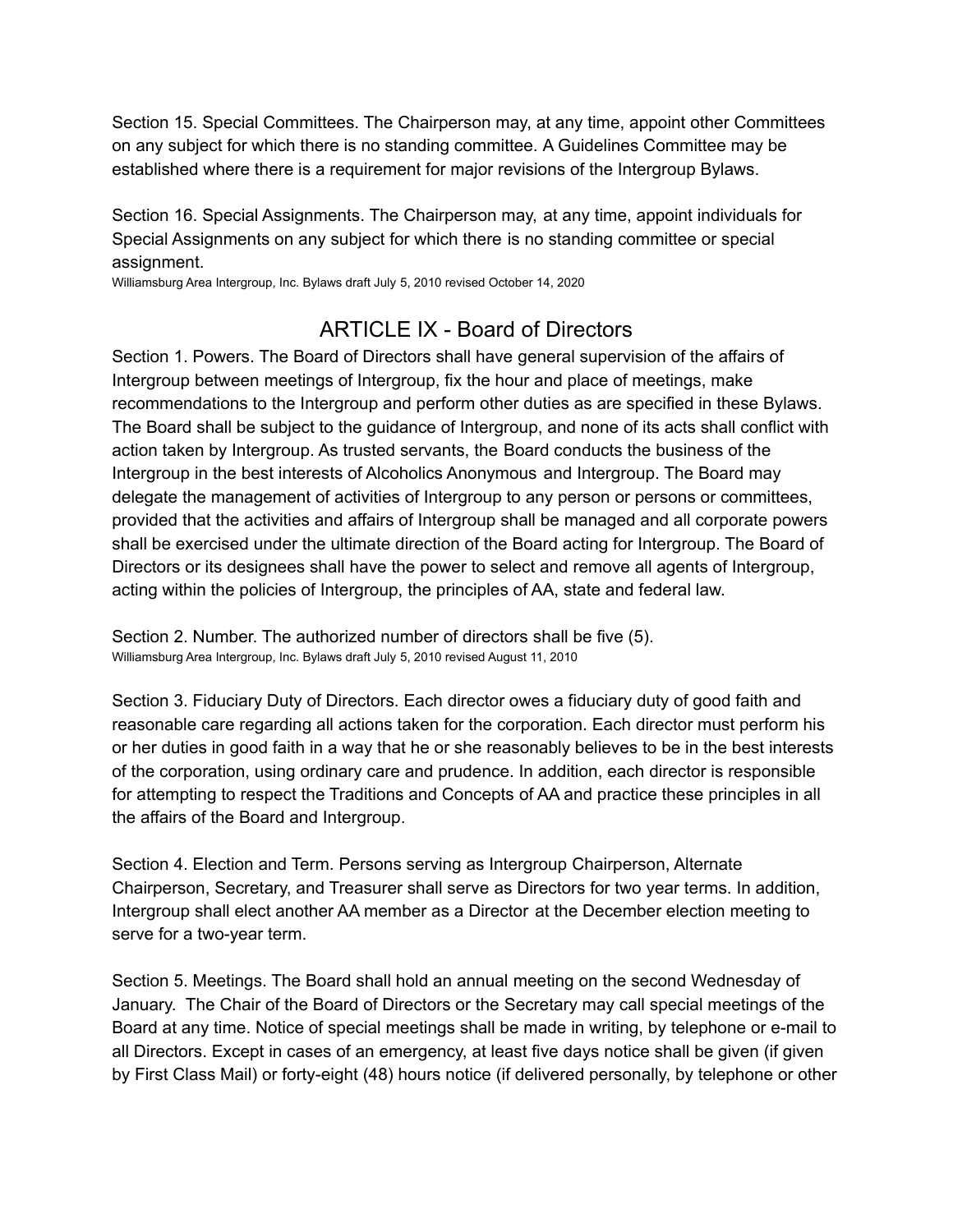Section 15. Special Committees. The Chairperson may, at any time, appoint other Committees on any subject for which there is no standing committee. A Guidelines Committee may be established where there is a requirement for major revisions of the Intergroup Bylaws.

Section 16. Special Assignments. The Chairperson may, at any time, appoint individuals for Special Assignments on any subject for which there is no standing committee or special assignment.

Williamsburg Area Intergroup, Inc. Bylaws draft July 5, 2010 revised October 14, 2020

### ARTICLE IX - Board of Directors

Section 1. Powers. The Board of Directors shall have general supervision of the affairs of Intergroup between meetings of Intergroup, fix the hour and place of meetings, make recommendations to the Intergroup and perform other duties as are specified in these Bylaws. The Board shall be subject to the guidance of Intergroup, and none of its acts shall conflict with action taken by Intergroup. As trusted servants, the Board conducts the business of the Intergroup in the best interests of Alcoholics Anonymous and Intergroup. The Board may delegate the management of activities of Intergroup to any person or persons or committees, provided that the activities and affairs of Intergroup shall be managed and all corporate powers shall be exercised under the ultimate direction of the Board acting for Intergroup. The Board of Directors or its designees shall have the power to select and remove all agents of Intergroup, acting within the policies of Intergroup, the principles of AA, state and federal law.

Section 2. Number. The authorized number of directors shall be five (5). Williamsburg Area Intergroup, Inc. Bylaws draft July 5, 2010 revised August 11, 2010

Section 3. Fiduciary Duty of Directors. Each director owes a fiduciary duty of good faith and reasonable care regarding all actions taken for the corporation. Each director must perform his or her duties in good faith in a way that he or she reasonably believes to be in the best interests of the corporation, using ordinary care and prudence. In addition, each director is responsible for attempting to respect the Traditions and Concepts of AA and practice these principles in all the affairs of the Board and Intergroup.

Section 4. Election and Term. Persons serving as Intergroup Chairperson, Alternate Chairperson, Secretary, and Treasurer shall serve as Directors for two year terms. In addition, Intergroup shall elect another AA member as a Director at the December election meeting to serve for a two-year term.

Section 5. Meetings. The Board shall hold an annual meeting on the second Wednesday of January. The Chair of the Board of Directors or the Secretary may call special meetings of the Board at any time. Notice of special meetings shall be made in writing, by telephone or e-mail to all Directors. Except in cases of an emergency, at least five days notice shall be given (if given by First Class Mail) or forty-eight (48) hours notice (if delivered personally, by telephone or other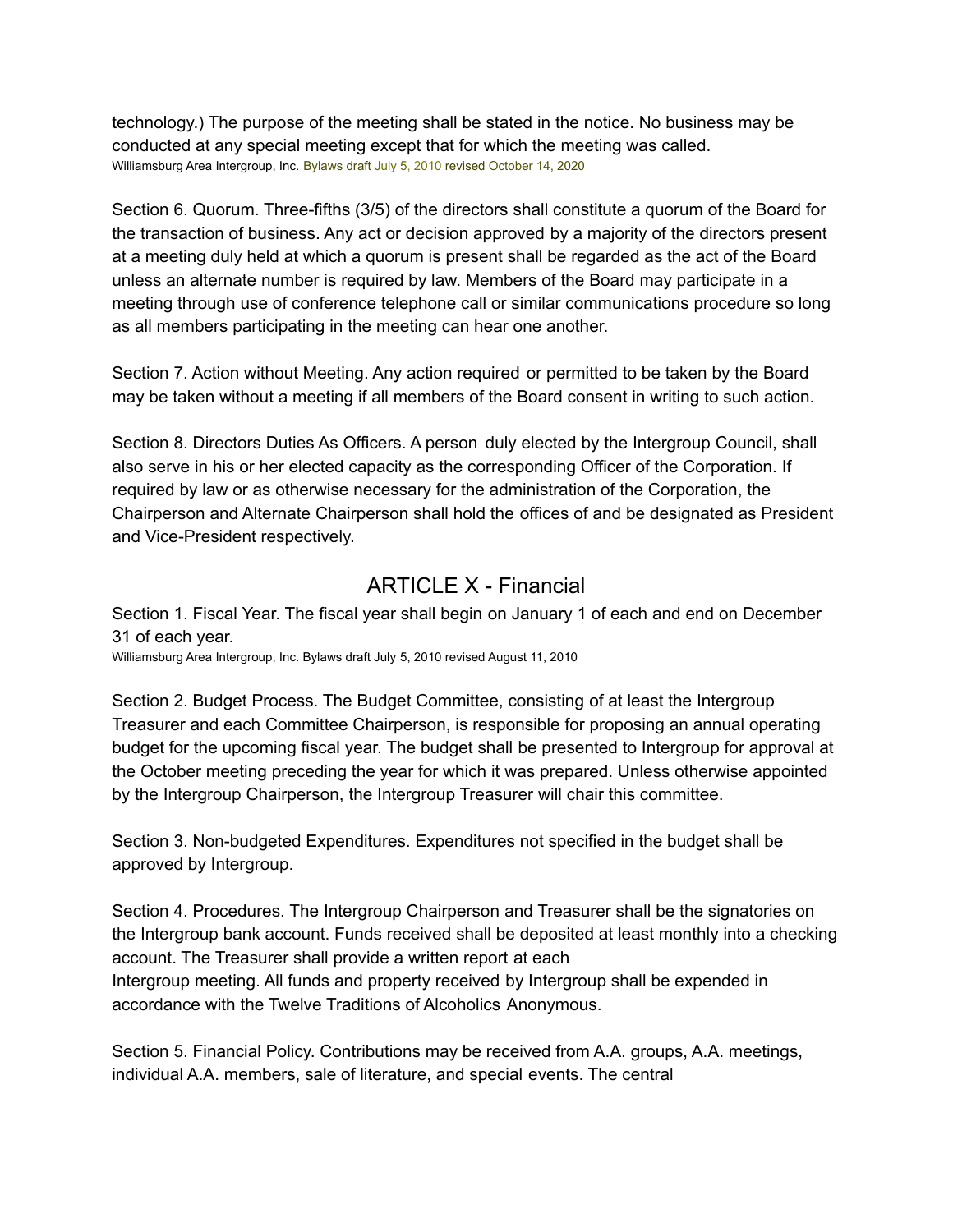technology.) The purpose of the meeting shall be stated in the notice. No business may be conducted at any special meeting except that for which the meeting was called. Williamsburg Area Intergroup, Inc. Bylaws draft July 5, 2010 revised October 14, 2020

Section 6. Quorum. Three-fifths (3/5) of the directors shall constitute a quorum of the Board for the transaction of business. Any act or decision approved by a majority of the directors present at a meeting duly held at which a quorum is present shall be regarded as the act of the Board unless an alternate number is required by law. Members of the Board may participate in a meeting through use of conference telephone call or similar communications procedure so long as all members participating in the meeting can hear one another.

Section 7. Action without Meeting. Any action required or permitted to be taken by the Board may be taken without a meeting if all members of the Board consent in writing to such action.

Section 8. Directors Duties As Officers. A person duly elected by the Intergroup Council, shall also serve in his or her elected capacity as the corresponding Officer of the Corporation. If required by law or as otherwise necessary for the administration of the Corporation, the Chairperson and Alternate Chairperson shall hold the offices of and be designated as President and Vice-President respectively.

#### ARTICLE X - Financial

Section 1. Fiscal Year. The fiscal year shall begin on January 1 of each and end on December 31 of each year.

Williamsburg Area Intergroup, Inc. Bylaws draft July 5, 2010 revised August 11, 2010

Section 2. Budget Process. The Budget Committee, consisting of at least the Intergroup Treasurer and each Committee Chairperson, is responsible for proposing an annual operating budget for the upcoming fiscal year. The budget shall be presented to Intergroup for approval at the October meeting preceding the year for which it was prepared. Unless otherwise appointed by the Intergroup Chairperson, the Intergroup Treasurer will chair this committee.

Section 3. Non-budgeted Expenditures. Expenditures not specified in the budget shall be approved by Intergroup.

Section 4. Procedures. The Intergroup Chairperson and Treasurer shall be the signatories on the Intergroup bank account. Funds received shall be deposited at least monthly into a checking account. The Treasurer shall provide a written report at each Intergroup meeting. All funds and property received by Intergroup shall be expended in accordance with the Twelve Traditions of Alcoholics Anonymous.

Section 5. Financial Policy. Contributions may be received from A.A. groups, A.A. meetings, individual A.A. members, sale of literature, and special events. The central